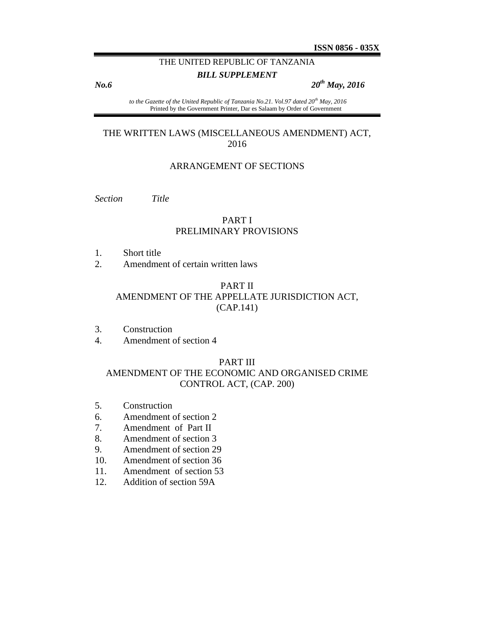# THE UNITED REPUBLIC OF TANZANIA

## *BILL SUPPLEMENT*

*No.6 20th May, 2016*

*to the Gazette of the United Republic of Tanzania No.21. Vol.97 dated 20th May, 2016* Printed by the Government Printer, Dar es Salaam by Order of Government

## THE WRITTEN LAWS (MISCELLANEOUS AMENDMENT) ACT, 2016

### ARRANGEMENT OF SECTIONS

*Section Title*

## PART I PRELIMINARY PROVISIONS

- 1. Short title
- 2. Amendment of certain written laws

#### PART II

## AMENDMENT OF THE APPELLATE JURISDICTION ACT, (CAP.141)

- 3. Construction
- 4. Amendment of section 4

### PART III

# AMENDMENT OF THE ECONOMIC AND ORGANISED CRIME CONTROL ACT, (CAP. 200)

- 5. Construction
- 6. Amendment of section 2
- 7. Amendment of Part II
- 8. Amendment of section 3
- 9. Amendment of section 29
- 10. Amendment of section 36
- 11. Amendment of section 53
- 12. Addition of section 59A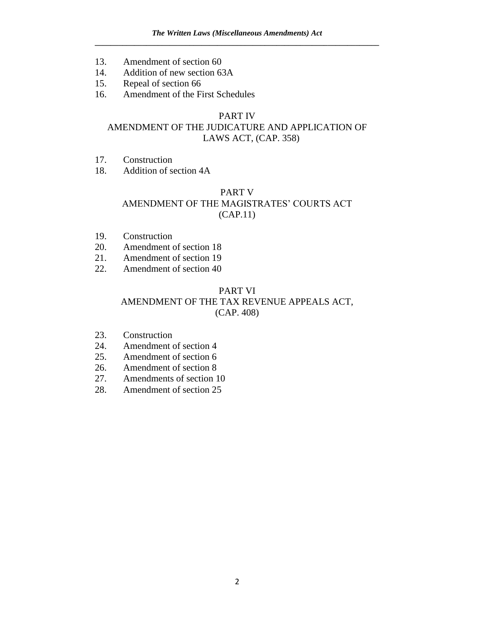- 13. Amendment of section 60
- 14. Addition of new section 63A
- 15. Repeal of section 66
- 16. Amendment of the First Schedules

# PART IV

# AMENDMENT OF THE JUDICATURE AND APPLICATION OF LAWS ACT, (CAP. 358)

- 17. Construction
- 18. Addition of section 4A

# PART V

# AMENDMENT OF THE MAGISTRATES' COURTS ACT (CAP.11)

- 19. Construction
- 20. Amendment of section 18
- 21. Amendment of section 19
- 22. Amendment of section 40

# PART VI AMENDMENT OF THE TAX REVENUE APPEALS ACT, (CAP. 408)

- 23. Construction
- 24. Amendment of section 4
- 25. Amendment of section 6
- 26. Amendment of section 8
- 27. Amendments of section 10
- 28. Amendment of section 25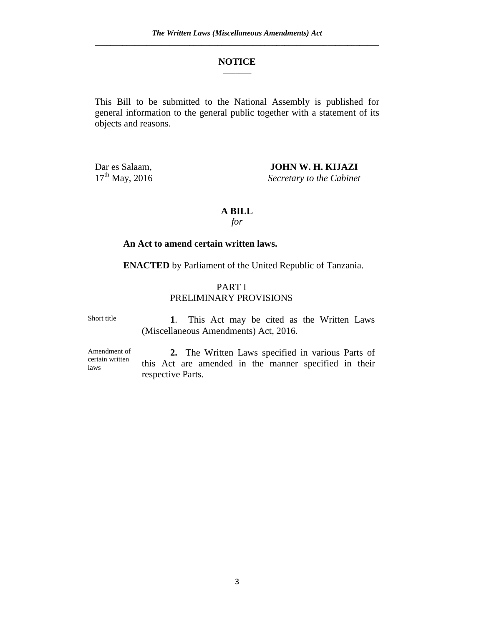#### **NOTICE**  $\mathcal{L}$

This Bill to be submitted to the National Assembly is published for general information to the general public together with a statement of its objects and reasons.

Dar es Salaam, **JOHN W. H. KIJAZI**<br>17<sup>th</sup> May, 2016 Secretary to the Cabinet **Secretary to the Cabinet** 

### **A BILL**

*for*

## **An Act to amend certain written laws.**

**ENACTED** by Parliament of the United Republic of Tanzania.

# PART I PRELIMINARY PROVISIONS

Short title

 **1**. This Act may be cited as the Written Laws (Miscellaneous Amendments) Act, 2016.

Amendment of certain written laws

**2.** The Written Laws specified in various Parts of this Act are amended in the manner specified in their respective Parts.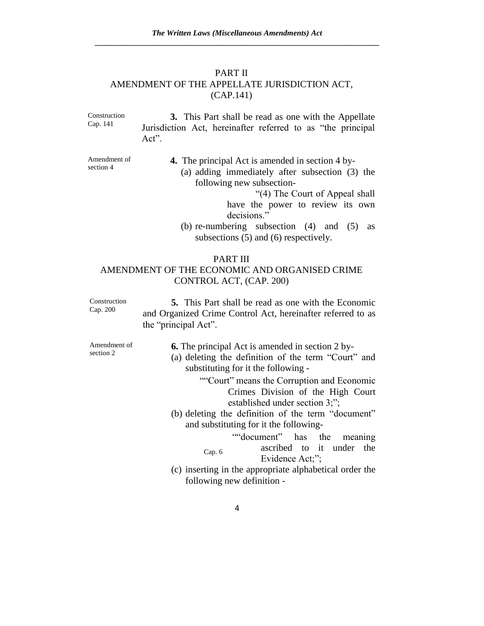## PART II AMENDMENT OF THE APPELLATE JURISDICTION ACT, (CAP.141)

Construction Cap. 141 **3.** This Part shall be read as one with the Appellate Jurisdiction Act, hereinafter referred to as "the principal Act".

Amendment of section 4

**4.** The principal Act is amended in section 4 by-

- (a) adding immediately after subsection (3) the following new subsection-
	- "(4) The Court of Appeal shall have the power to review its own decisions."
- (b) re-numbering subsection (4) and (5) as subsections (5) and (6) respectively.

## PART III

# AMENDMENT OF THE ECONOMIC AND ORGANISED CRIME CONTROL ACT, (CAP. 200)

Construction Cap. 200 **5.** This Part shall be read as one with the Economic and Organized Crime Control Act, hereinafter referred to as the "principal Act".

Amendment of section 2

**6.** The principal Act is amended in section 2 by-

- (a) deleting the definition of the term "Court" and substituting for it the following -
	- ""Court" means the Corruption and Economic Crimes Division of the High Court established under section 3;";
- (b) deleting the definition of the term "document" and substituting for it the following-
	- Cap. 6 ""document" has the meaning ascribed to it under the Evidence Act;";
- (c) inserting in the appropriate alphabetical order the following new definition -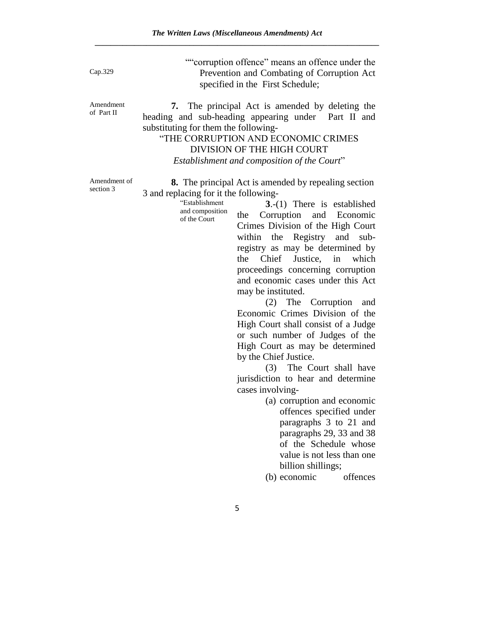Cap.329

""corruption offence" means an offence under the Prevention and Combating of Corruption Act specified in the First Schedule;

Amendment of Part II

**7.** The principal Act is amended by deleting the heading and sub-heading appearing under Part II and substituting for them the following-

"THE CORRUPTION AND ECONOMIC CRIMES DIVISION OF THE HIGH COURT *Establishment and composition of the Court*"

Amendment of section 3

**8.** The principal Act is amended by repealing section 3 and replacing for it the following-

> "Establishment and composition of the Court

**3**.-(1) There is established the Corruption and Economic Crimes Division of the High Court within the Registry and subregistry as may be determined by the Chief Justice, in which proceedings concerning corruption and economic cases under this Act may be instituted.

(2) The Corruption and Economic Crimes Division of the High Court shall consist of a Judge or such number of Judges of the High Court as may be determined by the Chief Justice.

(3) The Court shall have jurisdiction to hear and determine cases involving-

> (a) corruption and economic offences specified under paragraphs 3 to 21 and paragraphs 29, 33 and 38 of the Schedule whose value is not less than one billion shillings;

(b) economic offences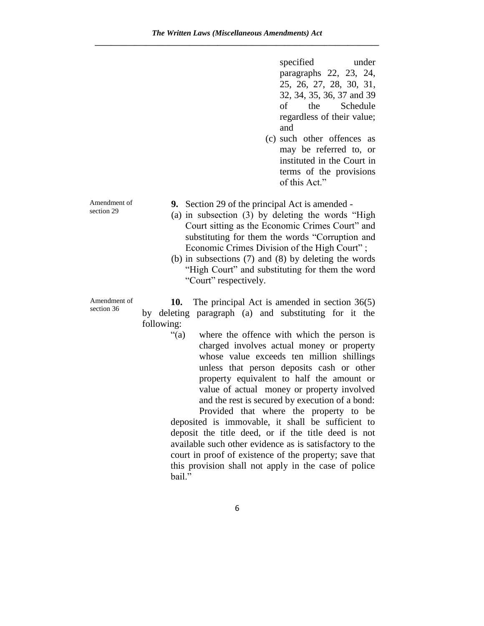specified under paragraphs 22, 23, 24, 25, 26, 27, 28, 30, 31, 32, 34, 35, 36, 37 and 39 of the Schedule regardless of their value; and

(c) such other offences as may be referred to, or instituted in the Court in terms of the provisions of this Act."

Amendment of section 29

- **9.** Section 29 of the principal Act is amended -
- (a) in subsection (3) by deleting the words "High Court sitting as the Economic Crimes Court" and substituting for them the words "Corruption and Economic Crimes Division of the High Court" ;
- (b) in subsections (7) and (8) by deleting the words "High Court" and substituting for them the word "Court" respectively.

Amendment of section 36

**10.** The principal Act is amended in section 36(5) by deleting paragraph (a) and substituting for it the following:

> "(a) where the offence with which the person is charged involves actual money or property whose value exceeds ten million shillings unless that person deposits cash or other property equivalent to half the amount or value of actual money or property involved and the rest is secured by execution of a bond:

> Provided that where the property to be deposited is immovable, it shall be sufficient to deposit the title deed, or if the title deed is not available such other evidence as is satisfactory to the court in proof of existence of the property; save that this provision shall not apply in the case of police bail."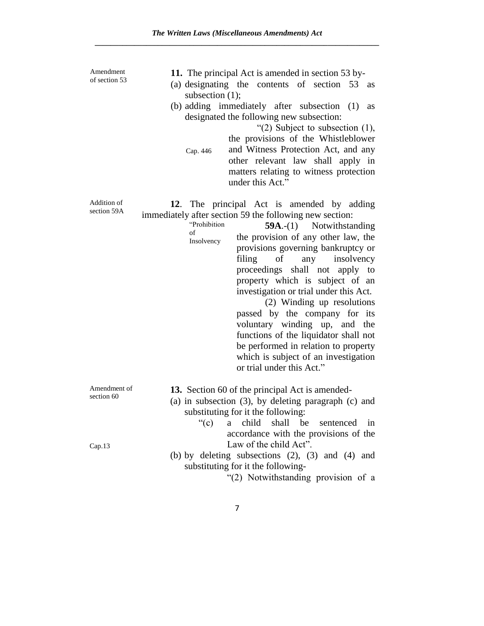Addition of section 59A **12**. The principal Act is amended by adding immediately after section 59 the following new section: "Prohibition of Insolvency **59A**.-(1) Notwithstanding the provision of any other law, the provisions governing bankruptcy or filing of any insolvency proceedings shall not apply to property which is subject of an investigation or trial under this Act. (2) Winding up resolutions passed by the company for its voluntary winding up, and the functions of the liquidator shall not be performed in relation to property which is subject of an investigation or trial under this Act." Amendment of section 60 **13.** Section 60 of the principal Act is amended- (a) in subsection (3), by deleting paragraph (c) and substituting for it the following: Cap.13 "(c) a child shall be sentenced in accordance with the provisions of the Law of the child Act". (b) by deleting subsections (2), (3) and (4) and substituting for it the following- "(2) Notwithstanding provision of a Amendment of section 53 **11.** The principal Act is amended in section 53 by- (a) designating the contents of section 53 as subsection  $(1)$ ; (b) adding immediately after subsection (1) as designated the following new subsection: Cap. 446 " $(2)$  Subject to subsection  $(1)$ , the provisions of the Whistleblower and Witness Protection Act, and any other relevant law shall apply in matters relating to witness protection under this Act."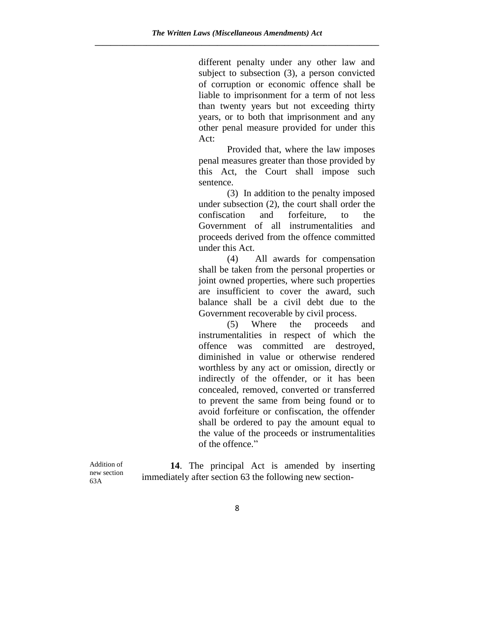different penalty under any other law and subject to subsection (3), a person convicted of corruption or economic offence shall be liable to imprisonment for a term of not less than twenty years but not exceeding thirty years, or to both that imprisonment and any other penal measure provided for under this Act:

Provided that, where the law imposes penal measures greater than those provided by this Act, the Court shall impose such sentence.

(3) In addition to the penalty imposed under subsection (2), the court shall order the confiscation and forfeiture, to the Government of all instrumentalities and proceeds derived from the offence committed under this Act.

(4) All awards for compensation shall be taken from the personal properties or joint owned properties, where such properties are insufficient to cover the award, such balance shall be a civil debt due to the Government recoverable by civil process.

(5) Where the proceeds and instrumentalities in respect of which the offence was committed are destroyed, diminished in value or otherwise rendered worthless by any act or omission, directly or indirectly of the offender, or it has been concealed, removed, converted or transferred to prevent the same from being found or to avoid forfeiture or confiscation, the offender shall be ordered to pay the amount equal to the value of the proceeds or instrumentalities of the offence."

Addition of new section 63A

**14**. The principal Act is amended by inserting immediately after section 63 the following new section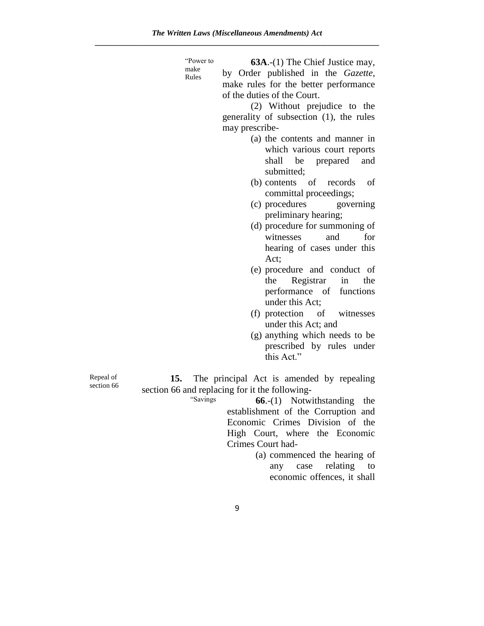"Power to make

Rules

**63A**.-(1) The Chief Justice may, by Order published in the *Gazette,* make rules for the better performance of the duties of the Court.

(2) Without prejudice to the generality of subsection (1), the rules may prescribe-

- (a) the contents and manner in which various court reports shall be prepared and submitted;
- (b) contents of records of committal proceedings;
- (c) procedures governing preliminary hearing;
- (d) procedure for summoning of witnesses and for hearing of cases under this Act;
- (e) procedure and conduct of the Registrar in the performance of functions under this Act;
- (f) protection of witnesses under this Act; and
- (g) anything which needs to be prescribed by rules under this Act."

Repeal of section 66

**15.** The principal Act is amended by repealing section 66 and replacing for it the following-

"Savings **66.-(1)** Notwithstanding the establishment of the Corruption and Economic Crimes Division of the High Court, where the Economic Crimes Court had-

> (a) commenced the hearing of any case relating to economic offences, it shall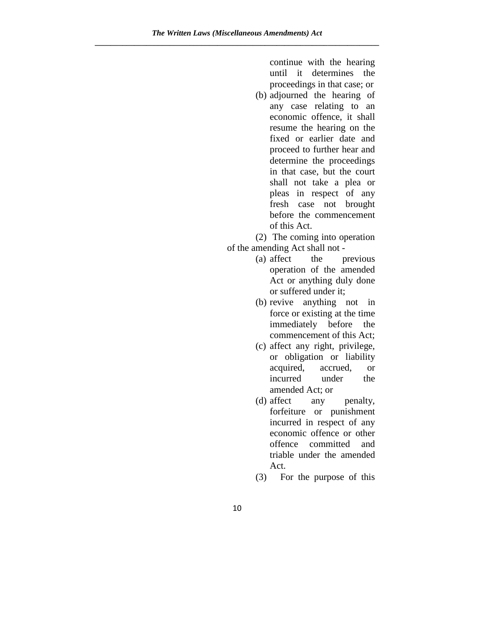continue with the hearing until it determines the proceedings in that case; or

(b) adjourned the hearing of any case relating to an economic offence, it shall resume the hearing on the fixed or earlier date and proceed to further hear and determine the proceedings in that case, but the court shall not take a plea or pleas in respect of any fresh case not brought before the commencement of this Act.

(2) The coming into operation of the amending Act shall not -

- (a) affect the previous operation of the amended Act or anything duly done or suffered under it;
- (b) revive anything not in force or existing at the time immediately before the commencement of this Act;
- (c) affect any right, privilege, or obligation or liability acquired, accrued, or incurred under the amended Act; or
- (d) affect any penalty, forfeiture or punishment incurred in respect of any economic offence or other offence committed and triable under the amended Act.
- (3) For the purpose of this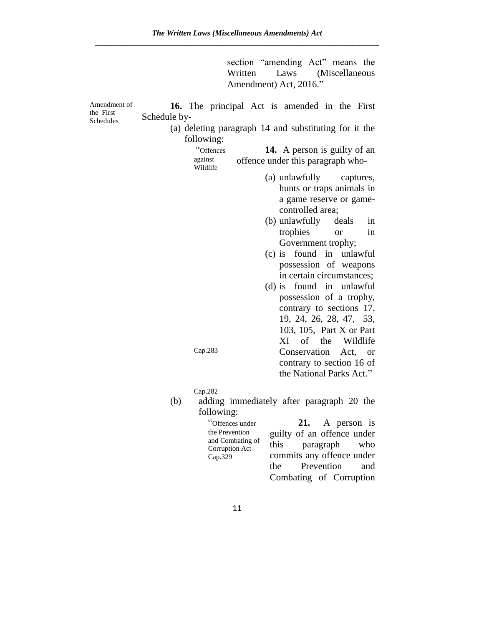section "amending Act" means the<br>Written Laws (Miscellaneous Laws (Miscellaneous Amendment) Act, 2016."

| Amendment of           | 16. The principal Act is amended in the First                                         |
|------------------------|---------------------------------------------------------------------------------------|
| the First<br>Schedules | Schedule by-                                                                          |
|                        | (a) deleting paragraph 14 and substituting for it the<br>following:                   |
|                        | "Offences<br><b>14.</b> A person is guilty of an                                      |
|                        | against<br>offence under this paragraph who-<br>Wildlife                              |
|                        | (a) unlawfully<br>captures,                                                           |
|                        | hunts or traps animals in                                                             |
|                        | a game reserve or game-<br>controlled area;                                           |
|                        | (b) unlawfully<br>deals<br>in                                                         |
|                        | trophies<br>in<br><b>or</b>                                                           |
|                        | Government trophy;                                                                    |
|                        | (c) is found in unlawful                                                              |
|                        | possession of weapons                                                                 |
|                        | in certain circumstances;                                                             |
|                        | found in unlawful<br>$(d)$ is                                                         |
|                        | possession of a trophy,                                                               |
|                        | contrary to sections 17,                                                              |
|                        | 19, 24, 26, 28, 47, 53,                                                               |
|                        | 103, 105, Part X or Part<br>of the<br>XI<br>Wildlife                                  |
|                        | Cap.283<br>Conservation Act,<br><sub>or</sub>                                         |
|                        | contrary to section 16 of                                                             |
|                        | the National Parks Act."                                                              |
|                        |                                                                                       |
|                        | Cap.282                                                                               |
|                        | (b)<br>adding immediately after paragraph 20 the                                      |
|                        | following:                                                                            |
|                        | "Offences under<br>21.<br>A person is<br>the Prevention<br>quilty of an offence under |

| "Offences under                    | 21. A person is            |  |  |
|------------------------------------|----------------------------|--|--|
| the Prevention                     | guilty of an offence under |  |  |
| and Combating of<br>Corruption Act | this paragraph who         |  |  |
| Cap.329                            | commits any offence under  |  |  |
|                                    | the Prevention and         |  |  |
|                                    | Combating of Corruption    |  |  |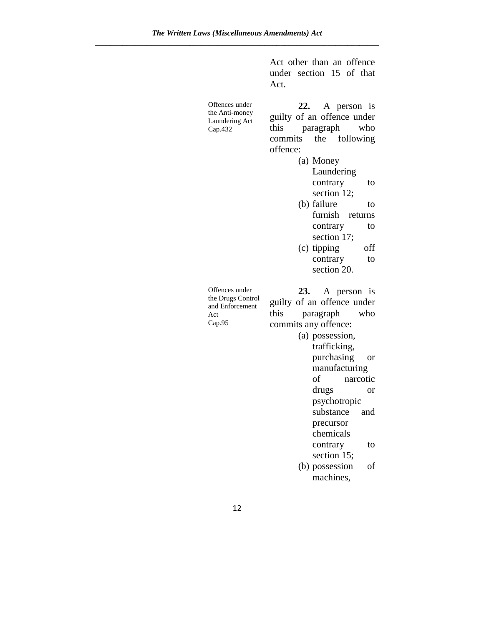|                                                                         | Act other than an offence<br>under section 15 of that<br>Act.                                                                                                                                      |
|-------------------------------------------------------------------------|----------------------------------------------------------------------------------------------------------------------------------------------------------------------------------------------------|
| Offences under<br>the Anti-money<br>Laundering Act<br>Cap.432           | 22. A person is<br>guilty of an offence under<br>this<br>paragraph<br>who<br>the following<br>commits<br>offence:<br>(a) Money<br>Laundering<br>contrary<br>to<br>section 12;<br>(b) failure<br>to |
|                                                                         | furnish<br>returns<br>contrary<br>to<br>section 17;                                                                                                                                                |
|                                                                         | off<br>(c) tipping                                                                                                                                                                                 |
|                                                                         | contrary<br>to                                                                                                                                                                                     |
|                                                                         | section 20.                                                                                                                                                                                        |
| Offences under<br>the Drugs Control<br>and Enforcement<br>Act<br>Cap.95 | A person is<br>23.<br>guilty of an offence under<br>this<br>paragraph<br>who<br>commits any offence:<br>(a) possession,<br>trafficking,                                                            |
|                                                                         | purchasing<br>or                                                                                                                                                                                   |
|                                                                         | manufacturing                                                                                                                                                                                      |
|                                                                         | of<br>narcotic                                                                                                                                                                                     |
|                                                                         | drugs<br>or                                                                                                                                                                                        |
|                                                                         | psychotropic                                                                                                                                                                                       |
|                                                                         | substance<br>and                                                                                                                                                                                   |
|                                                                         | precursor<br>chemicals                                                                                                                                                                             |
|                                                                         | contrary<br>to                                                                                                                                                                                     |
|                                                                         | section 15;                                                                                                                                                                                        |
|                                                                         | (b) possession<br>οf                                                                                                                                                                               |
|                                                                         | machines,                                                                                                                                                                                          |
|                                                                         |                                                                                                                                                                                                    |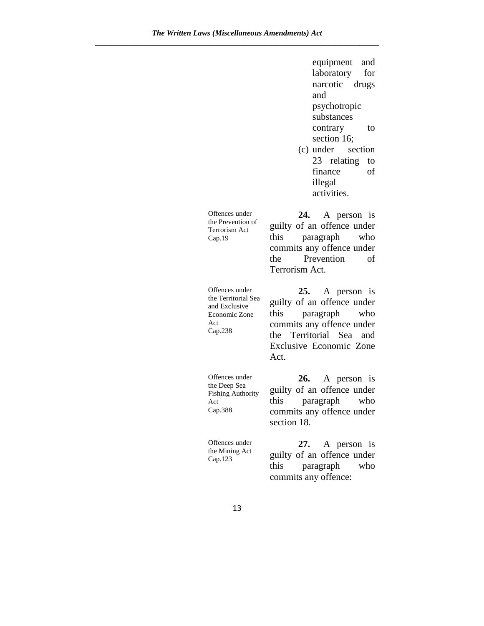equipment and laboratory for narcotic drugs and psychotropic substances contrary to section 16;

(c) under section 23 relating to finance of illegal activities.

Offences under the Prevention of Terrorism Act Cap.19 **24.** A person is guilty of an offence under this paragraph who commits any offence under the Prevention of Terrorism Act. Offences under the Territorial Sea and Exclusive Economic Zone Act Cap.238 **25.** A person is guilty of an offence under this paragraph who commits any offence under the Territorial Sea and Exclusive Economic Zone Act. Offences under the Deep Sea Fishing Authority Act Cap.388 **26.** A person is guilty of an offence under this paragraph who commits any offence under section 18. Offences under the Mining Act Cap.123 **27.** A person is guilty of an offence under this paragraph who commits any offence: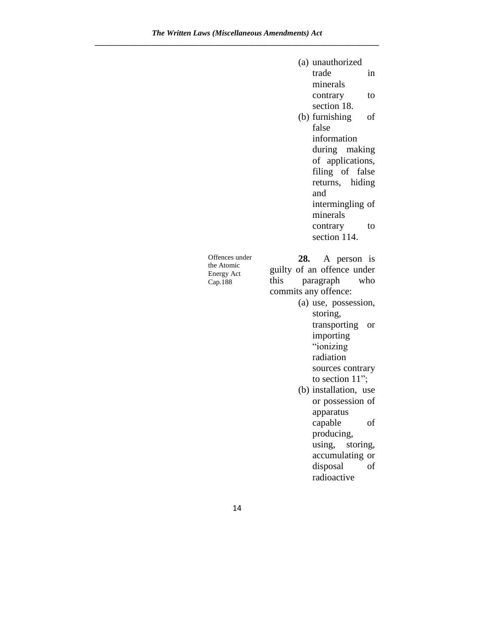|                   | (a) unauthorized                 |
|-------------------|----------------------------------|
|                   | trade<br>in                      |
|                   | minerals                         |
|                   | contrary<br>to                   |
|                   | section 18.                      |
|                   | (b) furnishing<br>of             |
|                   | false                            |
|                   | information                      |
|                   | during making                    |
|                   | of applications,                 |
|                   | filing of false                  |
|                   | hiding<br>returns,               |
|                   | and                              |
|                   | intermingling of                 |
|                   | minerals                         |
|                   | contrary<br>to                   |
|                   | section 114.                     |
| Offences under    |                                  |
| the Atomic        | 28.<br>A person is               |
|                   | guilty of an offence under       |
| <b>Energy Act</b> |                                  |
| Cap.188           | this<br>paragraph<br>who         |
|                   | commits any offence:             |
|                   | (a) use, possession,             |
|                   | storing,                         |
|                   | transporting<br><b>or</b>        |
|                   | importing                        |
|                   | "ionizing                        |
|                   | radiation                        |
|                   | sources contrary                 |
|                   | to section 11";                  |
|                   | (b) installation, use            |
|                   | or possession of                 |
|                   | apparatus                        |
|                   | capable<br>of                    |
|                   | producing,<br>using,<br>storing, |

disposal of radioactive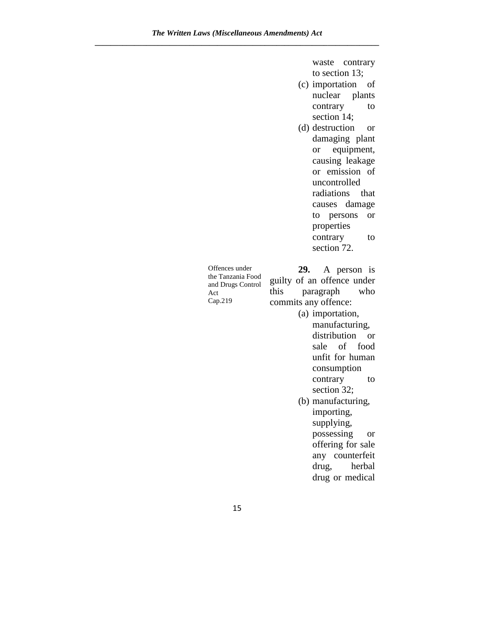waste contrary to section 13;

- (c) importation of nuclear plants contrary to section 14;
- (d) destruction or damaging plant or equipment, causing leakage or emission of uncontrolled radiations that causes damage to persons or properties contrary to section 72.

| Offences under    |                            | 29. A person is |  |     |  |
|-------------------|----------------------------|-----------------|--|-----|--|
| the Tanzania Food | guilty of an offence under |                 |  |     |  |
| and Drugs Control |                            |                 |  |     |  |
| Act               | this paragraph             |                 |  | who |  |
| Cap.219           | commits any offence:       |                 |  |     |  |

(a) importation, manufacturing, distribution or sale of food unfit for human consumption contrary to section 32; (b) manufacturing,

importing, supplying, possessing or offering for sale any counterfeit drug, herbal drug or medical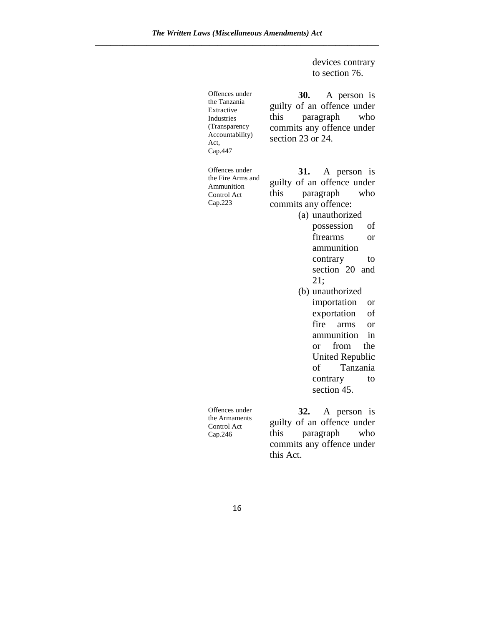devices contrary to section 76.

| Offences under<br>the Tanzania<br>Extractive<br>Industries<br>(Transparency<br>Accountability)<br>Act.<br>Cap.447 | 30.<br>A person is<br>guilty of an offence under<br>this<br>paragraph<br>who<br>commits any offence under<br>section 23 or 24.                                                                                                                                                                                                                                                                                              |
|-------------------------------------------------------------------------------------------------------------------|-----------------------------------------------------------------------------------------------------------------------------------------------------------------------------------------------------------------------------------------------------------------------------------------------------------------------------------------------------------------------------------------------------------------------------|
| Offences under<br>the Fire Arms and<br>Ammunition<br>Control Act<br>Cap.223                                       | 31. A person is<br>guilty of an offence under<br>this<br>paragraph<br>who<br>commits any offence:<br>(a) unauthorized<br>possession<br>οf<br>firearms<br>or<br>ammunition<br>contrary<br>to<br>section 20 and<br>21;<br>(b) unauthorized<br>importation<br>or<br>exportation<br>οf<br>fire<br>arms<br>or<br>ammunition<br>in<br>from the<br>or<br><b>United Republic</b><br>of<br>Tanzania<br>contrary<br>to<br>section 45. |
| Offences under<br>the Armaments<br>Control Act<br>Cap.246                                                         | 32. A person is<br>guilty of an offence under<br>paragraph<br>this<br>who<br>commits any offence under<br>this Act.                                                                                                                                                                                                                                                                                                         |

16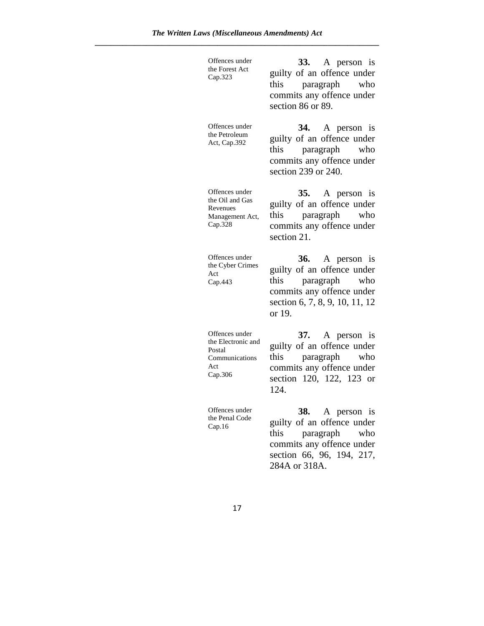| Offences under<br>the Forest Act<br>Cap.323                                        | 33. A person is<br>guilty of an offence under<br>this paragraph who<br>commits any offence under<br>section 86 or 89.                                |
|------------------------------------------------------------------------------------|------------------------------------------------------------------------------------------------------------------------------------------------------|
| Offences under<br>the Petroleum<br>Act, Cap.392                                    | 34. A person is<br>guilty of an offence under<br>this paragraph who<br>commits any offence under<br>section 239 or 240.                              |
| Offences under<br>the Oil and Gas<br>Revenues<br>Management Act,<br>Cap.328        | 35. A person is<br>guilty of an offence under<br>this paragraph who<br>commits any offence under<br>section 21.                                      |
| Offences under<br>the Cyber Crimes<br>Act<br>Cap.443                               | 36. A person is<br>guilty of an offence under<br>this paragraph who<br>commits any offence under<br>section 6, 7, 8, 9, 10, 11, 12<br>or 19.         |
| Offences under<br>the Electronic and<br>Postal<br>Communications<br>Act<br>Cap.306 | 37. A person is<br>guilty of an offence under<br>paragraph who<br>this<br>commits any offence under<br>section 120, 122, 123 or<br>124.              |
| Offences under<br>the Penal Code<br>Cap.16                                         | 38. A person is<br>guilty of an offence under<br>this<br>paragraph<br>who<br>commits any offence under<br>section 66, 96, 194, 217,<br>284A or 318A. |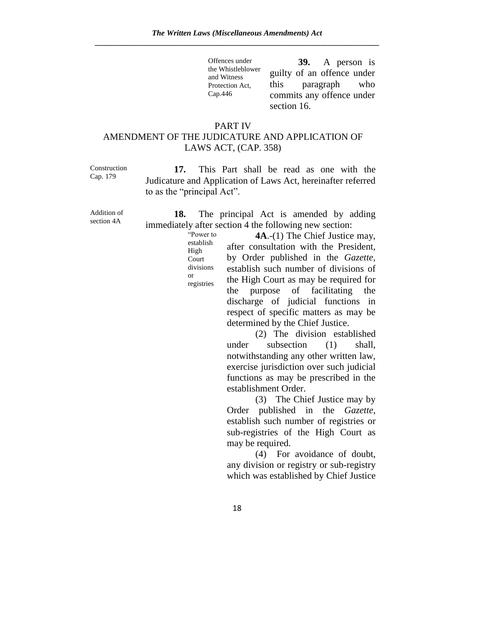Offences under the Whistleblower and Witness Protection Act, Cap.446 **39.** A person is guilty of an offence under this paragraph who commits any offence under section 16.

# PART IV AMENDMENT OF THE JUDICATURE AND APPLICATION OF LAWS ACT, (CAP. 358)

Construction Cap. 179

**17.** This Part shall be read as one with the Judicature and Application of Laws Act, hereinafter referred to as the "principal Act".

Addition of section 4A

**18.** The principal Act is amended by adding immediately after section 4 the following new section:

> "Power to establish High Court divisions or registries

**4A**.-(1) The Chief Justice may, after consultation with the President, by Order published in the *Gazette,* establish such number of divisions of the High Court as may be required for the purpose of facilitating the discharge of judicial functions in respect of specific matters as may be determined by the Chief Justice.

(2) The division established under subsection (1) shall, notwithstanding any other written law, exercise jurisdiction over such judicial functions as may be prescribed in the establishment Order.

(3) The Chief Justice may by Order published in the *Gazette*, establish such number of registries or sub-registries of the High Court as may be required.

(4) For avoidance of doubt, any division or registry or sub-registry which was established by Chief Justice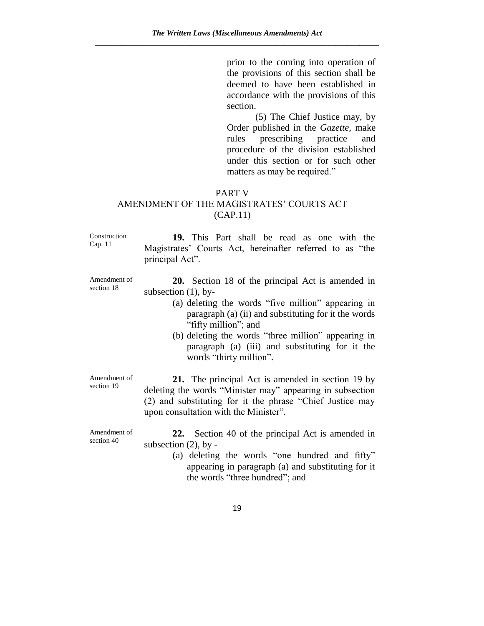prior to the coming into operation of the provisions of this section shall be deemed to have been established in accordance with the provisions of this section.

(5) The Chief Justice may, by Order published in the *Gazette,* make rules prescribing practice and procedure of the division established under this section or for such other matters as may be required."

### PART V

# AMENDMENT OF THE MAGISTRATES' COURTS ACT (CAP.11)

Construction Cap. 11

section 18

**19.** This Part shall be read as one with the Magistrates' Courts Act, hereinafter referred to as "the principal Act".

Amendment of **20.** Section 18 of the principal Act is amended in subsection (1), by-

- (a) deleting the words "five million" appearing in paragraph (a) (ii) and substituting for it the words "fifty million"; and
- (b) deleting the words "three million" appearing in paragraph (a) (iii) and substituting for it the words "thirty million".

Amendment of section 19

**21.** The principal Act is amended in section 19 by deleting the words "Minister may" appearing in subsection (2) and substituting for it the phrase "Chief Justice may upon consultation with the Minister".

Amendment of section 40

**22.** Section 40 of the principal Act is amended in subsection  $(2)$ , by -

> (a) deleting the words "one hundred and fifty" appearing in paragraph (a) and substituting for it the words "three hundred"; and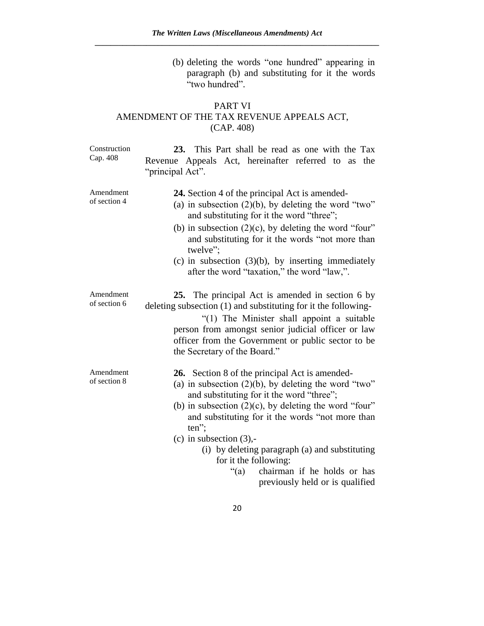(b) deleting the words "one hundred" appearing in paragraph (b) and substituting for it the words "two hundred".

# PART VI AMENDMENT OF THE TAX REVENUE APPEALS ACT, (CAP. 408)

| Construction<br>Cap. 408  | 23. This Part shall be read as one with the Tax<br>Revenue Appeals Act, hereinafter referred to as the<br>"principal Act".                                                                                                                                                                                                                                                                                                      |
|---------------------------|---------------------------------------------------------------------------------------------------------------------------------------------------------------------------------------------------------------------------------------------------------------------------------------------------------------------------------------------------------------------------------------------------------------------------------|
| Amendment<br>of section 4 | <b>24.</b> Section 4 of the principal Act is amended-<br>(a) in subsection $(2)(b)$ , by deleting the word "two"<br>and substituting for it the word "three";<br>(b) in subsection $(2)(c)$ , by deleting the word "four"<br>and substituting for it the words "not more than<br>twelve";<br>(c) in subsection $(3)(b)$ , by inserting immediately<br>after the word "taxation," the word "law,".                               |
| Amendment<br>of section 6 | 25. The principal Act is amended in section 6 by<br>deleting subsection (1) and substituting for it the following-<br>"(1) The Minister shall appoint a suitable<br>person from amongst senior judicial officer or law<br>officer from the Government or public sector to be<br>the Secretary of the Board."                                                                                                                    |
| Amendment<br>of section 8 | 26. Section 8 of the principal Act is amended-<br>(a) in subsection $(2)(b)$ , by deleting the word "two"<br>and substituting for it the word "three";<br>(b) in subsection $(2)(c)$ , by deleting the word "four"<br>and substituting for it the words "not more than<br>$ten$ ";<br>(c) in subsection $(3)$ ,-<br>(i) by deleting paragraph (a) and substituting<br>for it the following:<br>"(a) chairman if he holds or has |

previously held or is qualified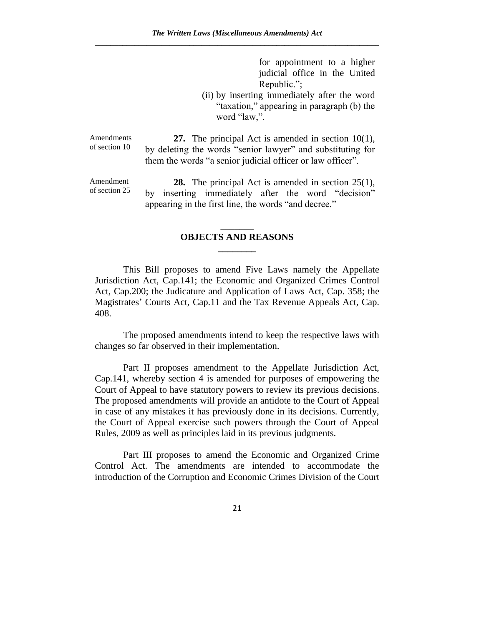for appointment to a higher judicial office in the United Republic.";

(ii) by inserting immediately after the word "taxation," appearing in paragraph (b) the word "law,".

Amendments of section 10

**27.** The principal Act is amended in section 10(1), by deleting the words "senior lawyer" and substituting for them the words "a senior judicial officer or law officer".

Amendment of section 25

**28.** The principal Act is amended in section 25(1), by inserting immediately after the word "decision" appearing in the first line, the words "and decree."

# \_\_\_\_\_\_\_ **OBJECTS AND REASONS \_\_\_\_\_\_\_\_**

This Bill proposes to amend Five Laws namely the Appellate Jurisdiction Act, Cap.141; the Economic and Organized Crimes Control Act, Cap.200; the Judicature and Application of Laws Act, Cap. 358; the Magistrates' Courts Act, Cap.11 and the Tax Revenue Appeals Act, Cap. 408.

The proposed amendments intend to keep the respective laws with changes so far observed in their implementation.

Part II proposes amendment to the Appellate Jurisdiction Act, Cap.141, whereby section 4 is amended for purposes of empowering the Court of Appeal to have statutory powers to review its previous decisions. The proposed amendments will provide an antidote to the Court of Appeal in case of any mistakes it has previously done in its decisions. Currently, the Court of Appeal exercise such powers through the Court of Appeal Rules, 2009 as well as principles laid in its previous judgments.

Part III proposes to amend the Economic and Organized Crime Control Act. The amendments are intended to accommodate the introduction of the Corruption and Economic Crimes Division of the Court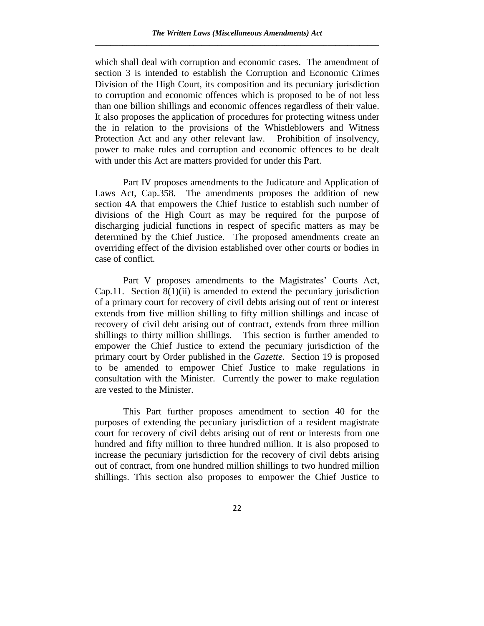which shall deal with corruption and economic cases. The amendment of section 3 is intended to establish the Corruption and Economic Crimes Division of the High Court, its composition and its pecuniary jurisdiction to corruption and economic offences which is proposed to be of not less than one billion shillings and economic offences regardless of their value. It also proposes the application of procedures for protecting witness under the in relation to the provisions of the Whistleblowers and Witness Protection Act and any other relevant law. Prohibition of insolvency, power to make rules and corruption and economic offences to be dealt with under this Act are matters provided for under this Part.

Part IV proposes amendments to the Judicature and Application of Laws Act, Cap.358. The amendments proposes the addition of new section 4A that empowers the Chief Justice to establish such number of divisions of the High Court as may be required for the purpose of discharging judicial functions in respect of specific matters as may be determined by the Chief Justice. The proposed amendments create an overriding effect of the division established over other courts or bodies in case of conflict.

Part V proposes amendments to the Magistrates' Courts Act, Cap.11. Section  $8(1)(ii)$  is amended to extend the pecuniary jurisdiction of a primary court for recovery of civil debts arising out of rent or interest extends from five million shilling to fifty million shillings and incase of recovery of civil debt arising out of contract, extends from three million shillings to thirty million shillings. This section is further amended to empower the Chief Justice to extend the pecuniary jurisdiction of the primary court by Order published in the *Gazette*. Section 19 is proposed to be amended to empower Chief Justice to make regulations in consultation with the Minister. Currently the power to make regulation are vested to the Minister.

This Part further proposes amendment to section 40 for the purposes of extending the pecuniary jurisdiction of a resident magistrate court for recovery of civil debts arising out of rent or interests from one hundred and fifty million to three hundred million. It is also proposed to increase the pecuniary jurisdiction for the recovery of civil debts arising out of contract, from one hundred million shillings to two hundred million shillings. This section also proposes to empower the Chief Justice to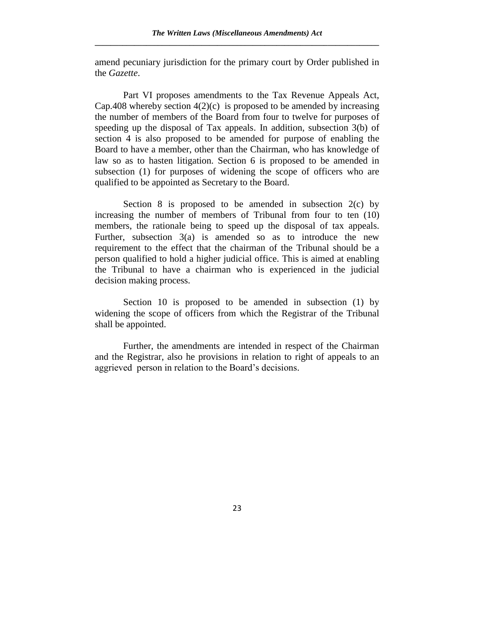amend pecuniary jurisdiction for the primary court by Order published in the *Gazette*.

Part VI proposes amendments to the Tax Revenue Appeals Act, Cap.408 whereby section  $4(2)(c)$  is proposed to be amended by increasing the number of members of the Board from four to twelve for purposes of speeding up the disposal of Tax appeals. In addition, subsection 3(b) of section 4 is also proposed to be amended for purpose of enabling the Board to have a member, other than the Chairman, who has knowledge of law so as to hasten litigation. Section 6 is proposed to be amended in subsection (1) for purposes of widening the scope of officers who are qualified to be appointed as Secretary to the Board.

Section 8 is proposed to be amended in subsection  $2(c)$  by increasing the number of members of Tribunal from four to ten (10) members, the rationale being to speed up the disposal of tax appeals. Further, subsection 3(a) is amended so as to introduce the new requirement to the effect that the chairman of the Tribunal should be a person qualified to hold a higher judicial office. This is aimed at enabling the Tribunal to have a chairman who is experienced in the judicial decision making process.

Section 10 is proposed to be amended in subsection (1) by widening the scope of officers from which the Registrar of the Tribunal shall be appointed.

Further, the amendments are intended in respect of the Chairman and the Registrar, also he provisions in relation to right of appeals to an aggrieved person in relation to the Board's decisions.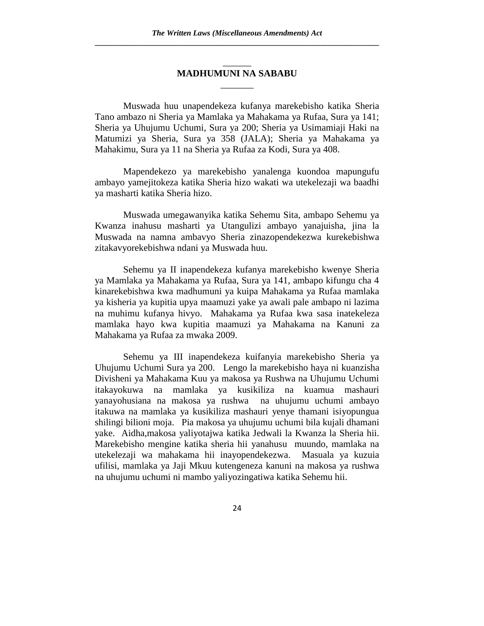## \_\_\_\_\_\_ **MADHUMUNI NA SABABU** \_\_\_\_\_\_\_

Muswada huu unapendekeza kufanya marekebisho katika Sheria Tano ambazo ni Sheria ya Mamlaka ya Mahakama ya Rufaa, Sura ya 141; Sheria ya Uhujumu Uchumi, Sura ya 200; Sheria ya Usimamiaji Haki na Matumizi ya Sheria, Sura ya 358 (JALA); Sheria ya Mahakama ya Mahakimu, Sura ya 11 na Sheria ya Rufaa za Kodi, Sura ya 408.

Mapendekezo ya marekebisho yanalenga kuondoa mapungufu ambayo yamejitokeza katika Sheria hizo wakati wa utekelezaji wa baadhi ya masharti katika Sheria hizo.

Muswada umegawanyika katika Sehemu Sita, ambapo Sehemu ya Kwanza inahusu masharti ya Utangulizi ambayo yanajuisha, jina la Muswada na namna ambavyo Sheria zinazopendekezwa kurekebishwa zitakavyorekebishwa ndani ya Muswada huu.

Sehemu ya II inapendekeza kufanya marekebisho kwenye Sheria ya Mamlaka ya Mahakama ya Rufaa, Sura ya 141, ambapo kifungu cha 4 kinarekebishwa kwa madhumuni ya kuipa Mahakama ya Rufaa mamlaka ya kisheria ya kupitia upya maamuzi yake ya awali pale ambapo ni lazima na muhimu kufanya hivyo. Mahakama ya Rufaa kwa sasa inatekeleza mamlaka hayo kwa kupitia maamuzi ya Mahakama na Kanuni za Mahakama ya Rufaa za mwaka 2009.

Sehemu ya III inapendekeza kuifanyia marekebisho Sheria ya Uhujumu Uchumi Sura ya 200. Lengo la marekebisho haya ni kuanzisha Divisheni ya Mahakama Kuu ya makosa ya Rushwa na Uhujumu Uchumi itakayokuwa na mamlaka ya kusikiliza na kuamua mashauri yanayohusiana na makosa ya rushwa na uhujumu uchumi ambayo itakuwa na mamlaka ya kusikiliza mashauri yenye thamani isiyopungua shilingi bilioni moja. Pia makosa ya uhujumu uchumi bila kujali dhamani yake. Aidha,makosa yaliyotajwa katika Jedwali la Kwanza la Sheria hii. Marekebisho mengine katika sheria hii yanahusu muundo, mamlaka na utekelezaji wa mahakama hii inayopendekezwa. Masuala ya kuzuia ufilisi, mamlaka ya Jaji Mkuu kutengeneza kanuni na makosa ya rushwa na uhujumu uchumi ni mambo yaliyozingatiwa katika Sehemu hii.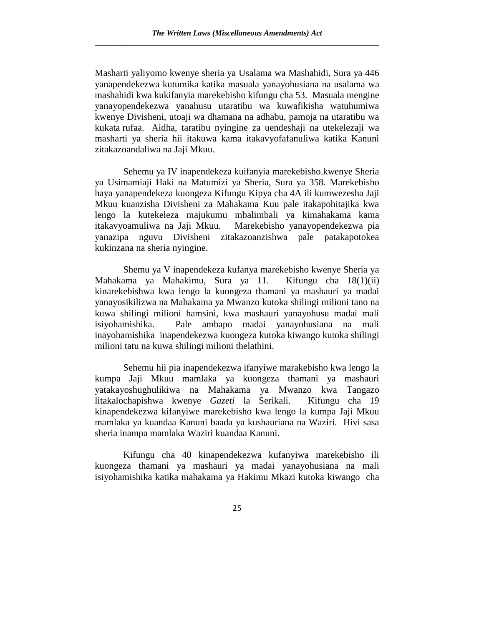Masharti yaliyomo kwenye sheria ya Usalama wa Mashahidi, Sura ya 446 yanapendekezwa kutumika katika masuala yanayohusiana na usalama wa mashahidi kwa kukifanyia marekebisho kifungu cha 53. Masuala mengine yanayopendekezwa yanahusu utaratibu wa kuwafikisha watuhumiwa kwenye Divisheni, utoaji wa dhamana na adhabu, pamoja na utaratibu wa kukata rufaa. Aidha, taratibu nyingine za uendeshaji na utekelezaji wa masharti ya sheria hii itakuwa kama itakavyofafanuliwa katika Kanuni zitakazoandaliwa na Jaji Mkuu.

Sehemu ya IV inapendekeza kuifanyia marekebisho.kwenye Sheria ya Usimamiaji Haki na Matumizi ya Sheria, Sura ya 358. Marekebisho haya yanapendekeza kuongeza Kifungu Kipya cha 4A ili kumwezesha Jaji Mkuu kuanzisha Divisheni za Mahakama Kuu pale itakapohitajika kwa lengo la kutekeleza majukumu mbalimbali ya kimahakama kama itakavyoamuliwa na Jaji Mkuu. Marekebisho yanayopendekezwa pia yanazipa nguvu Divisheni zitakazoanzishwa pale patakapotokea kukinzana na sheria nyingine.

Shemu ya V inapendekeza kufanya marekebisho kwenye Sheria ya Mahakama ya Mahakimu, Sura ya 11. Kifungu cha 18(1)(ii) kinarekebishwa kwa lengo la kuongeza thamani ya mashauri ya madai yanayosikilizwa na Mahakama ya Mwanzo kutoka shilingi milioni tano na kuwa shilingi milioni hamsini, kwa mashauri yanayohusu madai mali isiyohamishika. Pale ambapo madai yanayohusiana na mali inayohamishika inapendekezwa kuongeza kutoka kiwango kutoka shilingi milioni tatu na kuwa shilingi milioni thelathini.

Sehemu hii pia inapendekezwa ifanyiwe marakebisho kwa lengo la kumpa Jaji Mkuu mamlaka ya kuongeza thamani ya mashauri yatakayoshughulikiwa na Mahakama ya Mwanzo kwa Tangazo litakalochapishwa kwenye *Gazeti* la Serikali. Kifungu cha 19 kinapendekezwa kifanyiwe marekebisho kwa lengo la kumpa Jaji Mkuu mamlaka ya kuandaa Kanuni baada ya kushauriana na Waziri. Hivi sasa sheria inampa mamlaka Waziri kuandaa Kanuni.

Kifungu cha 40 kinapendekezwa kufanyiwa marekebisho ili kuongeza thamani ya mashauri ya madai yanayohusiana na mali isiyohamishika katika mahakama ya Hakimu Mkazi kutoka kiwango cha